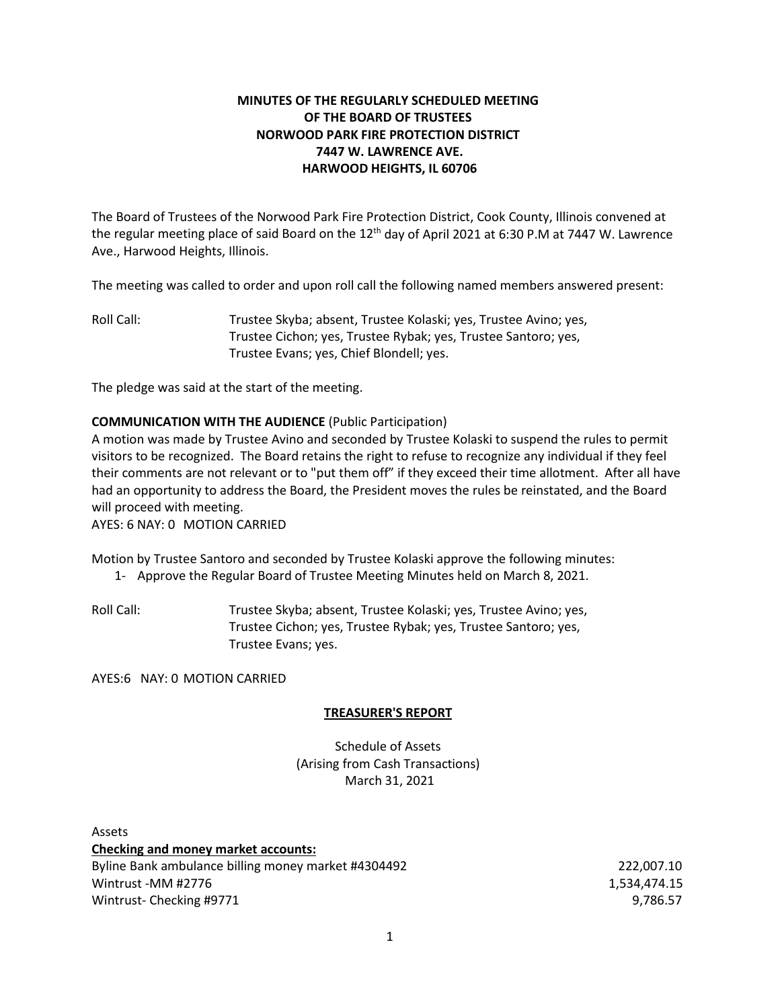# **MINUTES OF THE REGULARLY SCHEDULED MEETING OF THE BOARD OF TRUSTEES NORWOOD PARK FIRE PROTECTION DISTRICT 7447 W. LAWRENCE AVE. HARWOOD HEIGHTS, IL 60706**

The Board of Trustees of the Norwood Park Fire Protection District, Cook County, Illinois convened at the regular meeting place of said Board on the 12<sup>th</sup> day of April 2021 at 6:30 P.M at 7447 W. Lawrence Ave., Harwood Heights, Illinois.

The meeting was called to order and upon roll call the following named members answered present:

Roll Call: Trustee Skyba; absent, Trustee Kolaski; yes, Trustee Avino; yes, Trustee Cichon; yes, Trustee Rybak; yes, Trustee Santoro; yes, Trustee Evans; yes, Chief Blondell; yes.

The pledge was said at the start of the meeting.

## **COMMUNICATION WITH THE AUDIENCE** (Public Participation)

A motion was made by Trustee Avino and seconded by Trustee Kolaski to suspend the rules to permit visitors to be recognized. The Board retains the right to refuse to recognize any individual if they feel their comments are not relevant or to "put them off" if they exceed their time allotment. After all have had an opportunity to address the Board, the President moves the rules be reinstated, and the Board will proceed with meeting.

AYES: 6 NAY: 0 MOTION CARRIED

Motion by Trustee Santoro and seconded by Trustee Kolaski approve the following minutes:

1- Approve the Regular Board of Trustee Meeting Minutes held on March 8, 2021.

Roll Call: Trustee Skyba; absent, Trustee Kolaski; yes, Trustee Avino; yes, Trustee Cichon; yes, Trustee Rybak; yes, Trustee Santoro; yes, Trustee Evans; yes.

AYES:6 NAY: 0 MOTION CARRIED

## **TREASURER'S REPORT**

Schedule of Assets (Arising from Cash Transactions) March 31, 2021

Assets **Checking and money market accounts:** Byline Bank ambulance billing money market #4304492 222,007.10 Wintrust -MM #2776 1,534,474.15 Wintrust- Checking #9771 9,786.57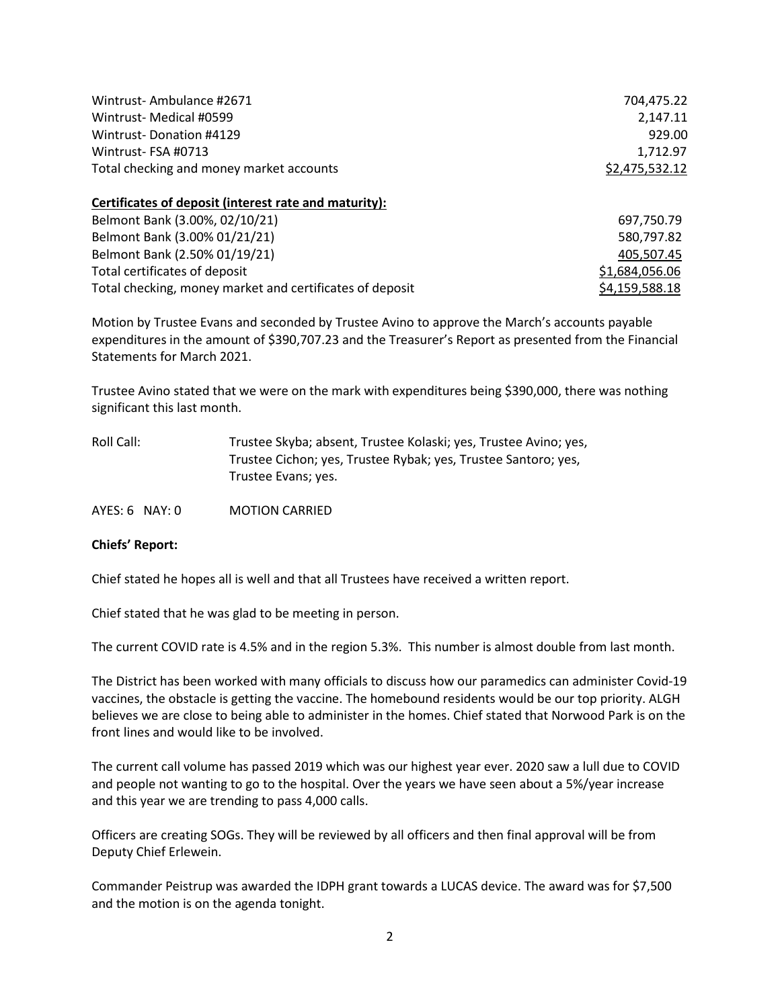| Wintrust-Ambulance #2671                                 | 704,475.22     |
|----------------------------------------------------------|----------------|
| Wintrust- Medical #0599                                  | 2,147.11       |
| Wintrust-Donation #4129                                  | 929.00         |
| Wintrust-FSA #0713                                       | 1,712.97       |
| Total checking and money market accounts                 | \$2,475,532.12 |
| Certificates of deposit (interest rate and maturity):    |                |
| Belmont Bank (3.00%, 02/10/21)                           | 697,750.79     |
| Belmont Bank (3.00% 01/21/21)                            | 580,797.82     |
| Belmont Bank (2.50% 01/19/21)                            | 405,507.45     |
| Total certificates of deposit                            | \$1,684,056.06 |
| Total checking, money market and certificates of deposit | \$4,159,588.18 |

Motion by Trustee Evans and seconded by Trustee Avino to approve the March's accounts payable expenditures in the amount of \$390,707.23 and the Treasurer's Report as presented from the Financial Statements for March 2021.

Trustee Avino stated that we were on the mark with expenditures being \$390,000, there was nothing significant this last month.

| Roll Call:       | Trustee Skyba; absent, Trustee Kolaski; yes, Trustee Avino; yes,                      |
|------------------|---------------------------------------------------------------------------------------|
|                  | Trustee Cichon; yes, Trustee Rybak; yes, Trustee Santoro; yes,<br>Trustee Evans; yes. |
| $AYES: 6$ NAY: 0 | <b>MOTION CARRIED</b>                                                                 |

#### **Chiefs' Report:**

Chief stated he hopes all is well and that all Trustees have received a written report.

Chief stated that he was glad to be meeting in person.

The current COVID rate is 4.5% and in the region 5.3%. This number is almost double from last month.

The District has been worked with many officials to discuss how our paramedics can administer Covid-19 vaccines, the obstacle is getting the vaccine. The homebound residents would be our top priority. ALGH believes we are close to being able to administer in the homes. Chief stated that Norwood Park is on the front lines and would like to be involved.

The current call volume has passed 2019 which was our highest year ever. 2020 saw a lull due to COVID and people not wanting to go to the hospital. Over the years we have seen about a 5%/year increase and this year we are trending to pass 4,000 calls.

Officers are creating SOGs. They will be reviewed by all officers and then final approval will be from Deputy Chief Erlewein.

Commander Peistrup was awarded the IDPH grant towards a LUCAS device. The award was for \$7,500 and the motion is on the agenda tonight.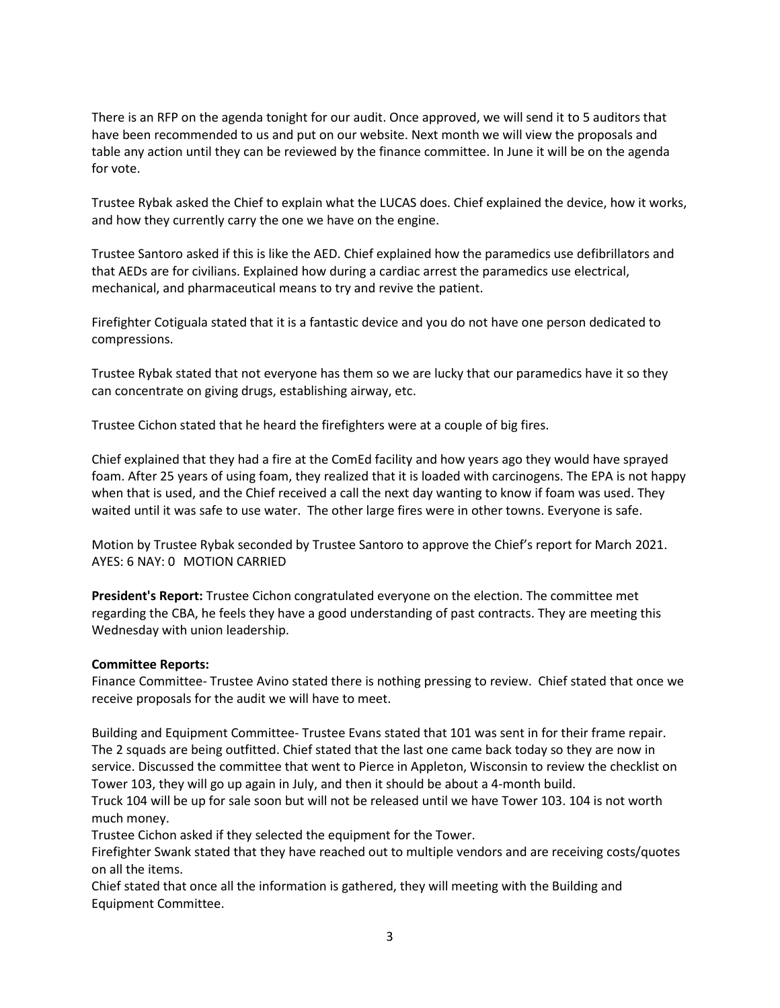There is an RFP on the agenda tonight for our audit. Once approved, we will send it to 5 auditors that have been recommended to us and put on our website. Next month we will view the proposals and table any action until they can be reviewed by the finance committee. In June it will be on the agenda for vote.

Trustee Rybak asked the Chief to explain what the LUCAS does. Chief explained the device, how it works, and how they currently carry the one we have on the engine.

Trustee Santoro asked if this is like the AED. Chief explained how the paramedics use defibrillators and that AEDs are for civilians. Explained how during a cardiac arrest the paramedics use electrical, mechanical, and pharmaceutical means to try and revive the patient.

Firefighter Cotiguala stated that it is a fantastic device and you do not have one person dedicated to compressions.

Trustee Rybak stated that not everyone has them so we are lucky that our paramedics have it so they can concentrate on giving drugs, establishing airway, etc.

Trustee Cichon stated that he heard the firefighters were at a couple of big fires.

Chief explained that they had a fire at the ComEd facility and how years ago they would have sprayed foam. After 25 years of using foam, they realized that it is loaded with carcinogens. The EPA is not happy when that is used, and the Chief received a call the next day wanting to know if foam was used. They waited until it was safe to use water. The other large fires were in other towns. Everyone is safe.

Motion by Trustee Rybak seconded by Trustee Santoro to approve the Chief's report for March 2021. AYES: 6 NAY: 0 MOTION CARRIED

**President's Report:** Trustee Cichon congratulated everyone on the election. The committee met regarding the CBA, he feels they have a good understanding of past contracts. They are meeting this Wednesday with union leadership.

## **Committee Reports:**

Finance Committee- Trustee Avino stated there is nothing pressing to review. Chief stated that once we receive proposals for the audit we will have to meet.

Building and Equipment Committee- Trustee Evans stated that 101 was sent in for their frame repair. The 2 squads are being outfitted. Chief stated that the last one came back today so they are now in service. Discussed the committee that went to Pierce in Appleton, Wisconsin to review the checklist on Tower 103, they will go up again in July, and then it should be about a 4-month build.

Truck 104 will be up for sale soon but will not be released until we have Tower 103. 104 is not worth much money.

Trustee Cichon asked if they selected the equipment for the Tower.

Firefighter Swank stated that they have reached out to multiple vendors and are receiving costs/quotes on all the items.

Chief stated that once all the information is gathered, they will meeting with the Building and Equipment Committee.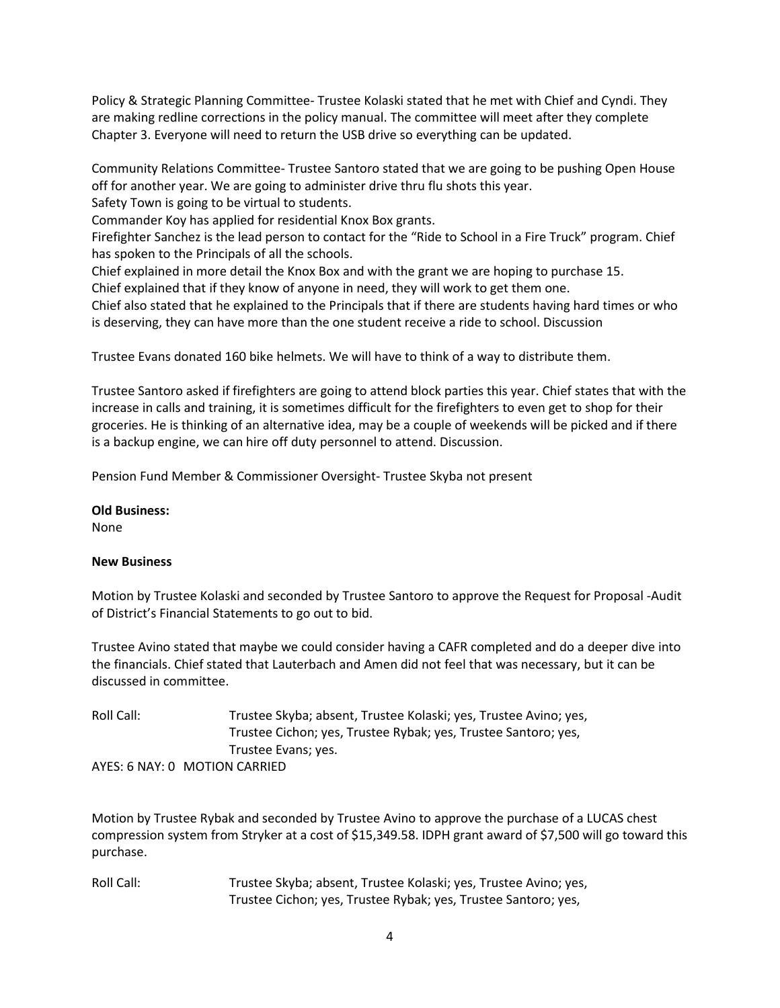Policy & Strategic Planning Committee- Trustee Kolaski stated that he met with Chief and Cyndi. They are making redline corrections in the policy manual. The committee will meet after they complete Chapter 3. Everyone will need to return the USB drive so everything can be updated.

Community Relations Committee- Trustee Santoro stated that we are going to be pushing Open House off for another year. We are going to administer drive thru flu shots this year.

Safety Town is going to be virtual to students.

Commander Koy has applied for residential Knox Box grants.

Firefighter Sanchez is the lead person to contact for the "Ride to School in a Fire Truck" program. Chief has spoken to the Principals of all the schools.

Chief explained in more detail the Knox Box and with the grant we are hoping to purchase 15. Chief explained that if they know of anyone in need, they will work to get them one.

Chief also stated that he explained to the Principals that if there are students having hard times or who is deserving, they can have more than the one student receive a ride to school. Discussion

Trustee Evans donated 160 bike helmets. We will have to think of a way to distribute them.

Trustee Santoro asked if firefighters are going to attend block parties this year. Chief states that with the increase in calls and training, it is sometimes difficult for the firefighters to even get to shop for their groceries. He is thinking of an alternative idea, may be a couple of weekends will be picked and if there is a backup engine, we can hire off duty personnel to attend. Discussion.

Pension Fund Member & Commissioner Oversight- Trustee Skyba not present

### **Old Business:**

None

## **New Business**

Motion by Trustee Kolaski and seconded by Trustee Santoro to approve the Request for Proposal -Audit of District's Financial Statements to go out to bid.

Trustee Avino stated that maybe we could consider having a CAFR completed and do a deeper dive into the financials. Chief stated that Lauterbach and Amen did not feel that was necessary, but it can be discussed in committee.

Roll Call: Trustee Skyba; absent, Trustee Kolaski; yes, Trustee Avino; yes, Trustee Cichon; yes, Trustee Rybak; yes, Trustee Santoro; yes, Trustee Evans; yes. AYES: 6 NAY: 0 MOTION CARRIED

Motion by Trustee Rybak and seconded by Trustee Avino to approve the purchase of a LUCAS chest compression system from Stryker at a cost of \$15,349.58. IDPH grant award of \$7,500 will go toward this purchase.

Roll Call: Trustee Skyba; absent, Trustee Kolaski; yes, Trustee Avino; yes, Trustee Cichon; yes, Trustee Rybak; yes, Trustee Santoro; yes,